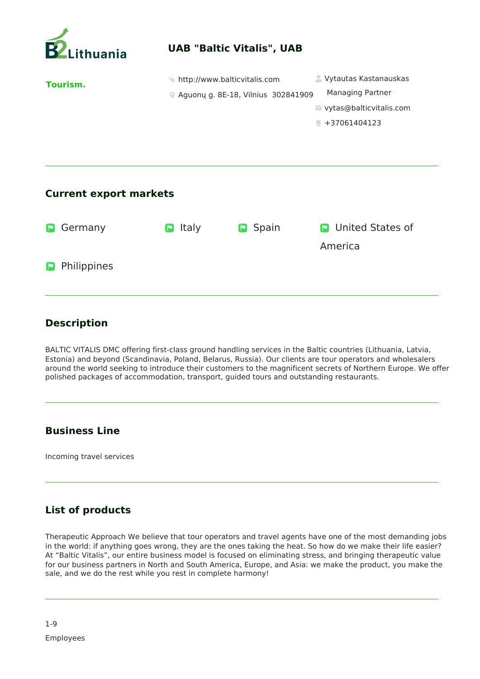

## **Description**

BALTIC VITALIS DMC offering first-class ground handling services in the Baltic countries (Lithuania, Latvia, Estonia) and beyond (Scandinavia, Poland, Belarus, Russia). Our clients are tour operators and wholesalers around the world seeking to introduce their customers to the magnificent secrets of Northern Europe. We offer polished packages of accommodation, transport, guided tours and outstanding restaurants.

## **Business Line**

Incoming travel services

## **List of products**

Therapeutic Approach We believe that tour operators and travel agents have one of the most demanding jobs in the world: if anything goes wrong, they are the ones taking the heat. So how do we make their life easier? At "Baltic Vitalis", our entire business model is focused on eliminating stress, and bringing therapeutic value for our business partners in North and South America, Europe, and Asia: we make the product, you make the sale, and we do the rest while you rest in complete harmony!